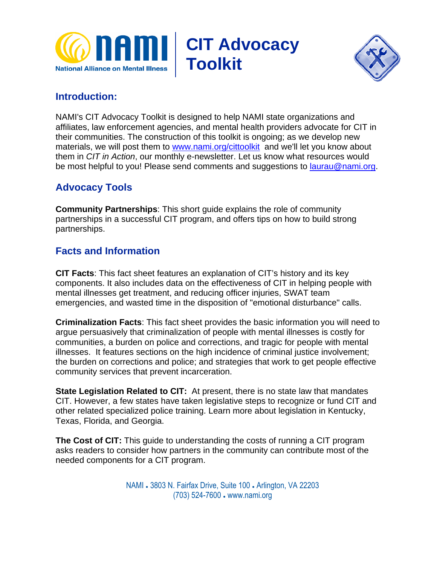





# **Introduction:**

NAMI's CIT Advocacy Toolkit is designed to help NAMI state organizations and affiliates, law enforcement agencies, and mental health providers advocate for CIT in their communities. The construction of this toolkit is ongoing; as we develop new materials, we will post them to www.nami.org/cittoolkit and we'll let you know about them in *CIT in Action*, our monthly e-newsletter. Let us know what resources would be most helpful to you! Please send comments and suggestions to laurau@nami.org.

# **Advocacy Tools**

**Community Partnerships**: This short guide explains the role of community partnerships in a successful CIT program, and offers tips on how to build strong partnerships.

# **Facts and Information**

**CIT Facts**: This fact sheet features an explanation of CIT's history and its key components. It also includes data on the effectiveness of CIT in helping people with mental illnesses get treatment, and reducing officer injuries, SWAT team emergencies, and wasted time in the disposition of "emotional disturbance" calls.

**Criminalization Facts**: This fact sheet provides the basic information you will need to argue persuasively that criminalization of people with mental illnesses is costly for communities, a burden on police and corrections, and tragic for people with mental illnesses. It features sections on the high incidence of criminal justice involvement; the burden on corrections and police; and strategies that work to get people effective community services that prevent incarceration.

**State Legislation Related to CIT:** At present, there is no state law that mandates CIT. However, a few states have taken legislative steps to recognize or fund CIT and other related specialized police training. Learn more about legislation in Kentucky, Texas, Florida, and Georgia.

**The Cost of CIT:** This guide to understanding the costs of running a CIT program asks readers to consider how partners in the community can contribute most of the needed components for a CIT program.

> NAMI • 3803 N. Fairfax Drive, Suite 100 • Arlington, VA 22203 (703) 524-7600 ● www.nami.org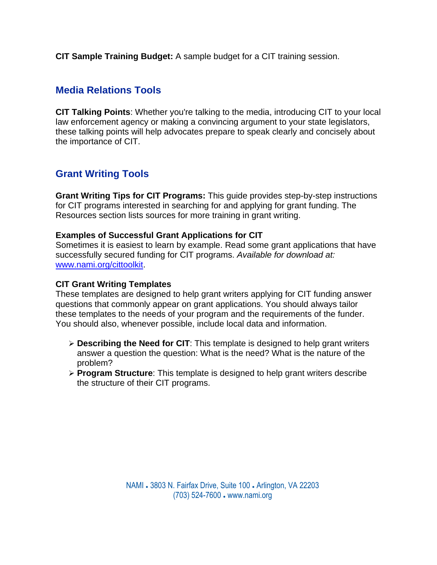**CIT Sample Training Budget:** A sample budget for a CIT training session.

# **Media Relations Tools**

**CIT Talking Points**: Whether you're talking to the media, introducing CIT to your local law enforcement agency or making a convincing argument to your state legislators, these talking points will help advocates prepare to speak clearly and concisely about the importance of CIT.

# **Grant Writing Tools**

**Grant Writing Tips for CIT Programs:** This guide provides step-by-step instructions for CIT programs interested in searching for and applying for grant funding. The Resources section lists sources for more training in grant writing.

#### **Examples of Successful Grant Applications for CIT**

Sometimes it is easiest to learn by example. Read some grant applications that have successfully secured funding for CIT programs. *Available for download at:*  www.nami.org/cittoolkit.

#### **CIT Grant Writing Templates**

These templates are designed to help grant writers applying for CIT funding answer questions that commonly appear on grant applications. You should always tailor these templates to the needs of your program and the requirements of the funder. You should also, whenever possible, include local data and information.

- $\triangleright$  **Describing the Need for CIT**: This template is designed to help grant writers answer a question the question: What is the need? What is the nature of the problem?
- ¾ **Program Structure**: This template is designed to help grant writers describe the structure of their CIT programs.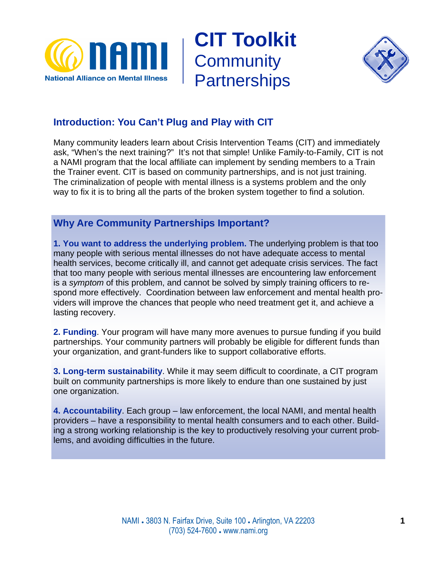





# **Introduction: You Can't Plug and Play with CIT**

Many community leaders learn about Crisis Intervention Teams (CIT) and immediately ask, "When's the next training?" It's not that simple! Unlike Family-to-Family, CIT is not a NAMI program that the local affiliate can implement by sending members to a Train the Trainer event. CIT is based on community partnerships, and is not just training. The criminalization of people with mental illness is a systems problem and the only way to fix it is to bring all the parts of the broken system together to find a solution.

# **Why Are Community Partnerships Important?**

**1. You want to address the underlying problem.** The underlying problem is that too many people with serious mental illnesses do not have adequate access to mental health services, become critically ill, and cannot get adequate crisis services. The fact that too many people with serious mental illnesses are encountering law enforcement is a *symptom* of this problem, and cannot be solved by simply training officers to respond more effectively. Coordination between law enforcement and mental health providers will improve the chances that people who need treatment get it, and achieve a lasting recovery.

**2. Funding**. Your program will have many more avenues to pursue funding if you build partnerships. Your community partners will probably be eligible for different funds than your organization, and grant-funders like to support collaborative efforts.

**3. Long-term sustainability**. While it may seem difficult to coordinate, a CIT program built on community partnerships is more likely to endure than one sustained by just one organization.

**4. Accountability**. Each group – law enforcement, the local NAMI, and mental health providers – have a responsibility to mental health consumers and to each other. Building a strong working relationship is the key to productively resolving your current problems, and avoiding difficulties in the future.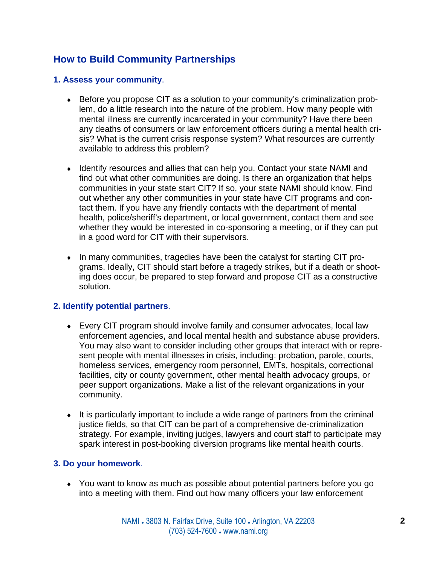# **How to Build Community Partnerships**

#### **1. Assess your community**.

- ♦ Before you propose CIT as a solution to your community's criminalization problem, do a little research into the nature of the problem. How many people with mental illness are currently incarcerated in your community? Have there been any deaths of consumers or law enforcement officers during a mental health crisis? What is the current crisis response system? What resources are currently available to address this problem?
- ♦ Identify resources and allies that can help you. Contact your state NAMI and find out what other communities are doing. Is there an organization that helps communities in your state start CIT? If so, your state NAMI should know. Find out whether any other communities in your state have CIT programs and contact them. If you have any friendly contacts with the department of mental health, police/sheriff's department, or local government, contact them and see whether they would be interested in co-sponsoring a meeting, or if they can put in a good word for CIT with their supervisors.
- ♦ In many communities, tragedies have been the catalyst for starting CIT programs. Ideally, CIT should start before a tragedy strikes, but if a death or shooting does occur, be prepared to step forward and propose CIT as a constructive solution.

#### **2. Identify potential partners**.

- ♦ Every CIT program should involve family and consumer advocates, local law enforcement agencies, and local mental health and substance abuse providers. You may also want to consider including other groups that interact with or represent people with mental illnesses in crisis, including: probation, parole, courts, homeless services, emergency room personnel, EMTs, hospitals, correctional facilities, city or county government, other mental health advocacy groups, or peer support organizations. Make a list of the relevant organizations in your community.
- ♦ It is particularly important to include a wide range of partners from the criminal justice fields, so that CIT can be part of a comprehensive de-criminalization strategy. For example, inviting judges, lawyers and court staff to participate may spark interest in post-booking diversion programs like mental health courts.

#### **3. Do your homework**.

♦ You want to know as much as possible about potential partners before you go into a meeting with them. Find out how many officers your law enforcement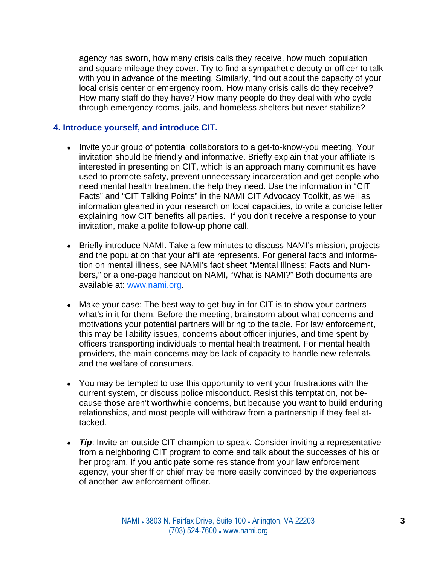agency has sworn, how many crisis calls they receive, how much population and square mileage they cover. Try to find a sympathetic deputy or officer to talk with you in advance of the meeting. Similarly, find out about the capacity of your local crisis center or emergency room. How many crisis calls do they receive? How many staff do they have? How many people do they deal with who cycle through emergency rooms, jails, and homeless shelters but never stabilize?

#### **4. Introduce yourself, and introduce CIT.**

- ♦ Invite your group of potential collaborators to a get-to-know-you meeting. Your invitation should be friendly and informative. Briefly explain that your affiliate is interested in presenting on CIT, which is an approach many communities have used to promote safety, prevent unnecessary incarceration and get people who need mental health treatment the help they need. Use the information in "CIT Facts" and "CIT Talking Points" in the NAMI CIT Advocacy Toolkit, as well as information gleaned in your research on local capacities, to write a concise letter explaining how CIT benefits all parties. If you don't receive a response to your invitation, make a polite follow-up phone call.
- ♦ Briefly introduce NAMI. Take a few minutes to discuss NAMI's mission, projects and the population that your affiliate represents. For general facts and information on mental illness, see NAMI's fact sheet "Mental Illness: Facts and Numbers," or a one-page handout on NAMI, "What is NAMI?" Both documents are available at: www.nami.org.
- ♦ Make your case: The best way to get buy-in for CIT is to show your partners what's in it for them. Before the meeting, brainstorm about what concerns and motivations your potential partners will bring to the table. For law enforcement, this may be liability issues, concerns about officer injuries, and time spent by officers transporting individuals to mental health treatment. For mental health providers, the main concerns may be lack of capacity to handle new referrals, and the welfare of consumers.
- ♦ You may be tempted to use this opportunity to vent your frustrations with the current system, or discuss police misconduct. Resist this temptation, not because those aren't worthwhile concerns, but because you want to build enduring relationships, and most people will withdraw from a partnership if they feel attacked.
- ♦ *Tip*: Invite an outside CIT champion to speak. Consider inviting a representative from a neighboring CIT program to come and talk about the successes of his or her program. If you anticipate some resistance from your law enforcement agency, your sheriff or chief may be more easily convinced by the experiences of another law enforcement officer.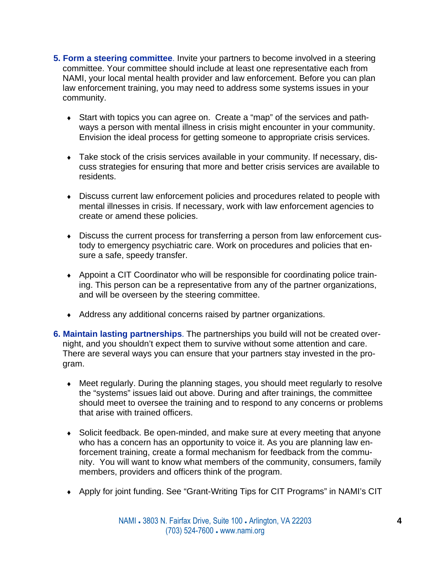- **5. Form a steering committee**. Invite your partners to become involved in a steering committee. Your committee should include at least one representative each from NAMI, your local mental health provider and law enforcement. Before you can plan law enforcement training, you may need to address some systems issues in your community.
	- ♦ Start with topics you can agree on. Create a "map" of the services and pathways a person with mental illness in crisis might encounter in your community. Envision the ideal process for getting someone to appropriate crisis services.
	- ♦ Take stock of the crisis services available in your community. If necessary, discuss strategies for ensuring that more and better crisis services are available to residents.
	- ♦ Discuss current law enforcement policies and procedures related to people with mental illnesses in crisis. If necessary, work with law enforcement agencies to create or amend these policies.
	- ♦ Discuss the current process for transferring a person from law enforcement custody to emergency psychiatric care. Work on procedures and policies that ensure a safe, speedy transfer.
	- ♦ Appoint a CIT Coordinator who will be responsible for coordinating police training. This person can be a representative from any of the partner organizations, and will be overseen by the steering committee.
	- ♦ Address any additional concerns raised by partner organizations.
- **6. Maintain lasting partnerships**. The partnerships you build will not be created overnight, and you shouldn't expect them to survive without some attention and care. There are several ways you can ensure that your partners stay invested in the program.
	- ♦ Meet regularly. During the planning stages, you should meet regularly to resolve the "systems" issues laid out above. During and after trainings, the committee should meet to oversee the training and to respond to any concerns or problems that arise with trained officers.
	- ♦ Solicit feedback. Be open-minded, and make sure at every meeting that anyone who has a concern has an opportunity to voice it. As you are planning law enforcement training, create a formal mechanism for feedback from the community. You will want to know what members of the community, consumers, family members, providers and officers think of the program.
	- ♦ Apply for joint funding. See "Grant-Writing Tips for CIT Programs" in NAMI's CIT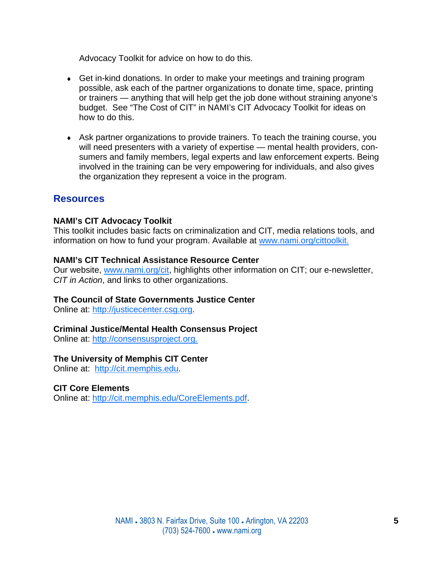Advocacy Toolkit for advice on how to do this.

- ♦ Get in-kind donations. In order to make your meetings and training program possible, ask each of the partner organizations to donate time, space, printing or trainers — anything that will help get the job done without straining anyone's budget. See "The Cost of CIT" in NAMI's CIT Advocacy Toolkit for ideas on how to do this.
- ♦ Ask partner organizations to provide trainers. To teach the training course, you will need presenters with a variety of expertise — mental health providers, consumers and family members, legal experts and law enforcement experts. Being involved in the training can be very empowering for individuals, and also gives the organization they represent a voice in the program.

# **Resources**

### **NAMI's CIT Advocacy Toolkit**

This toolkit includes basic facts on criminalization and CIT, media relations tools, and information on how to fund your program. Available at www.nami.org/cittoolkit.

#### **NAMI's CIT Technical Assistance Resource Center**

Our website, www.nami.org/cit, highlights other information on CIT; our e-newsletter, *CIT in Action*, and links to other organizations.

#### **The Council of State Governments Justice Center**

Online at: http://justicecenter.csg.org.

#### **Criminal Justice/Mental Health Consensus Project**

Online at: http://consensusproject.org.

#### **The University of Memphis CIT Center**

Online at: http://cit.memphis.edu.

#### **CIT Core Elements**

Online at: http://cit.memphis.edu/CoreElements.pdf.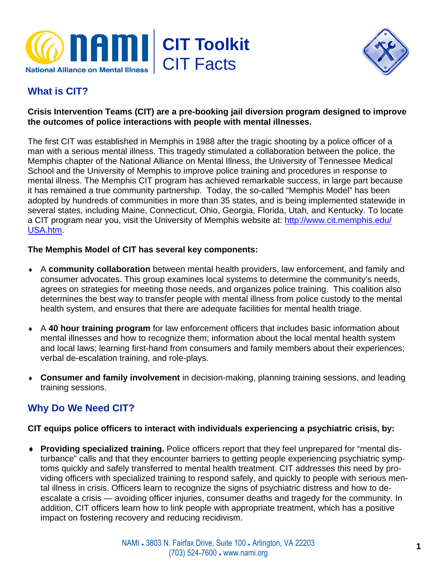



# **What is CIT?**

#### **Crisis Intervention Teams (CIT) are a pre-booking jail diversion program designed to improve the outcomes of police interactions with people with mental illnesses.**

The first CIT was established in Memphis in 1988 after the tragic shooting by a police officer of a man with a serious mental illness. This tragedy stimulated a collaboration between the police, the Memphis chapter of the National Alliance on Mental Illness, the University of Tennessee Medical School and the University of Memphis to improve police training and procedures in response to mental illness. The Memphis CIT program has achieved remarkable success, in large part because it has remained a true community partnership. Today, the so-called "Memphis Model" has been adopted by hundreds of communities in more than 35 states, and is being implemented statewide in several states, including Maine, Connecticut, Ohio, Georgia, Florida, Utah, and Kentucky. To locate a CIT program near you, visit the University of Memphis website at: http://www.cit.memphis.edu/ USA.htm.

### **The Memphis Model of CIT has several key components:**

- ♦ A **community collaboration** between mental health providers, law enforcement, and family and consumer advocates. This group examines local systems to determine the community's needs, agrees on strategies for meeting those needs, and organizes police training. This coalition also determines the best way to transfer people with mental illness from police custody to the mental health system, and ensures that there are adequate facilities for mental health triage.
- ♦ A **40 hour training program** for law enforcement officers that includes basic information about mental illnesses and how to recognize them; information about the local mental health system and local laws; learning first-hand from consumers and family members about their experiences; verbal de-escalation training, and role-plays.
- ♦ **Consumer and family involvement** in decision-making, planning training sessions, and leading training sessions.

# **Why Do We Need CIT?**

### **CIT equips police officers to interact with individuals experiencing a psychiatric crisis, by:**

♦ **Providing specialized training.** Police officers report that they feel unprepared for "mental disturbance" calls and that they encounter barriers to getting people experiencing psychiatric symptoms quickly and safely transferred to mental health treatment. CIT addresses this need by providing officers with specialized training to respond safely, and quickly to people with serious mental illness in crisis. Officers learn to recognize the signs of psychiatric distress and how to deescalate a crisis — avoiding officer injuries, consumer deaths and tragedy for the community. In addition, CIT officers learn how to link people with appropriate treatment, which has a positive impact on fostering recovery and reducing recidivism.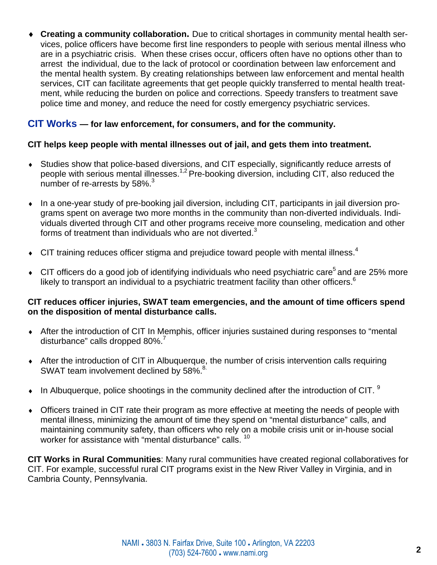♦ **Creating a community collaboration.** Due to critical shortages in community mental health services, police officers have become first line responders to people with serious mental illness who are in a psychiatric crisis. When these crises occur, officers often have no options other than to arrest the individual, due to the lack of protocol or coordination between law enforcement and the mental health system. By creating relationships between law enforcement and mental health services, CIT can facilitate agreements that get people quickly transferred to mental health treatment, while reducing the burden on police and corrections. Speedy transfers to treatment save police time and money, and reduce the need for costly emergency psychiatric services.

### **CIT Works — for law enforcement, for consumers, and for the community.**

### **CIT helps keep people with mental illnesses out of jail, and gets them into treatment.**

- ♦ Studies show that police-based diversions, and CIT especially, significantly reduce arrests of people with serious mental illnesses.1,2 Pre-booking diversion, including CIT, also reduced the number of re-arrests by  $58\%$ <sup>3</sup>
- ♦ In a one-year study of pre-booking jail diversion, including CIT, participants in jail diversion programs spent on average two more months in the community than non-diverted individuals. Individuals diverted through CIT and other programs receive more counseling, medication and other forms of treatment than individuals who are not diverted. $3$
- $\bullet$  CIT training reduces officer stigma and prejudice toward people with mental illness.<sup>4</sup>
- $\bullet$  CIT officers do a good job of identifying individuals who need psychiatric care<sup>5</sup> and are 25% more likely to transport an individual to a psychiatric treatment facility than other officers. $6$

#### **CIT reduces officer injuries, SWAT team emergencies, and the amount of time officers spend on the disposition of mental disturbance calls.**

- ♦ After the introduction of CIT In Memphis, officer injuries sustained during responses to "mental disturbance" calls dropped 80%.<sup>7</sup>
- ♦ After the introduction of CIT in Albuquerque, the number of crisis intervention calls requiring SWAT team involvement declined by 58%.<sup>8.</sup>
- $\bullet$  In Albuquerque, police shootings in the community declined after the introduction of CIT.  $9$
- ♦ Officers trained in CIT rate their program as more effective at meeting the needs of people with mental illness, minimizing the amount of time they spend on "mental disturbance" calls, and maintaining community safety, than officers who rely on a mobile crisis unit or in-house social worker for assistance with "mental disturbance" calls.<sup>10</sup>

**CIT Works in Rural Communities**: Many rural communities have created regional collaboratives for CIT. For example, successful rural CIT programs exist in the New River Valley in Virginia, and in Cambria County, Pennsylvania.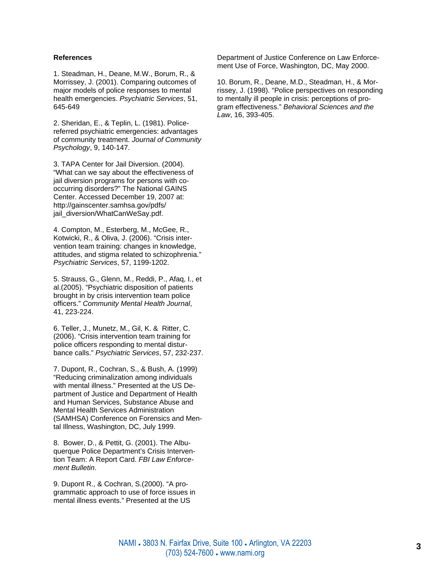#### **References**

1. Steadman, H., Deane, M.W., Borum, R., & Morrissey, J. (2001). Comparing outcomes of major models of police responses to mental health emergencies. *Psychiatric Services*, 51, 645-649

2. Sheridan, E., & Teplin, L. (1981). Policereferred psychiatric emergencies: advantages of community treatment. *Journal of Community Psychology*, 9, 140-147.

3. TAPA Center for Jail Diversion. (2004). "What can we say about the effectiveness of jail diversion programs for persons with cooccurring disorders?" The National GAINS Center. Accessed December 19, 2007 at: http://gainscenter.samhsa.gov/pdfs/ jail\_diversion/WhatCanWeSay.pdf.

4. Compton, M., Esterberg, M., McGee, R., Kotwicki, R., & Oliva, J. (2006). "Crisis intervention team training: changes in knowledge, attitudes, and stigma related to schizophrenia." *Psychiatric Services*, 57, 1199-1202.

5. Strauss, G., Glenn, M., Reddi, P., Afaq, I., et al.(2005). "Psychiatric disposition of patients brought in by crisis intervention team police officers." *Community Mental Health Journal*, 41, 223-224.

6. Teller, J., Munetz, M., Gil, K. & Ritter, C. (2006). "Crisis intervention team training for police officers responding to mental disturbance calls." *Psychiatric Services*, 57, 232-237.

7. Dupont, R., Cochran, S., & Bush, A. (1999) "Reducing criminalization among individuals with mental illness." Presented at the US Department of Justice and Department of Health and Human Services, Substance Abuse and Mental Health Services Administration (SAMHSA) Conference on Forensics and Mental Illness, Washington, DC, July 1999.

8. Bower, D., & Pettit, G. (2001). The Albuquerque Police Department's Crisis Intervention Team: A Report Card. *FBI Law Enforcement Bulletin*.

9. Dupont R., & Cochran, S.(2000). "A programmatic approach to use of force issues in mental illness events." Presented at the US

Department of Justice Conference on Law Enforcement Use of Force, Washington, DC, May 2000.

10. Borum, R., Deane, M.D., Steadman, H., & Morrissey, J. (1998). "Police perspectives on responding to mentally ill people in crisis: perceptions of program effectiveness." *Behavioral Sciences and the Law*, 16, 393-405.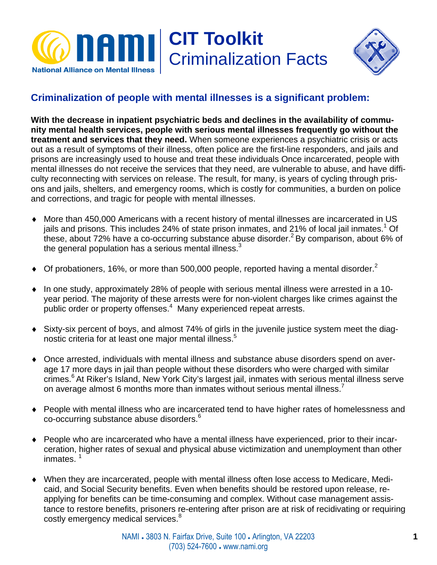



# **Criminalization of people with mental illnesses is a significant problem:**

**With the decrease in inpatient psychiatric beds and declines in the availability of community mental health services, people with serious mental illnesses frequently go without the treatment and services that they need.** When someone experiences a psychiatric crisis or acts out as a result of symptoms of their illness, often police are the first-line responders, and jails and prisons are increasingly used to house and treat these individuals Once incarcerated, people with mental illnesses do not receive the services that they need, are vulnerable to abuse, and have difficulty reconnecting with services on release. The result, for many, is years of cycling through prisons and jails, shelters, and emergency rooms, which is costly for communities, a burden on police and corrections, and tragic for people with mental illnesses.

- ♦ More than 450,000 Americans with a recent history of mental illnesses are incarcerated in US jails and prisons. This includes 24% of state prison inmates, and 21% of local jail inmates.<sup>1</sup> Of these, about 72% have a co-occurring substance abuse disorder.<sup>2</sup> By comparison, about 6% of the general population has a serious mental illness.<sup>3</sup>
- $\bullet$  Of probationers, 16%, or more than 500,000 people, reported having a mental disorder.<sup>2</sup>
- ♦ In one study, approximately 28% of people with serious mental illness were arrested in a 10 year period. The majority of these arrests were for non-violent charges like crimes against the public order or property offenses.<sup>4</sup> Many experienced repeat arrests.
- ♦ Sixty-six percent of boys, and almost 74% of girls in the juvenile justice system meet the diagnostic criteria for at least one major mental illness.<sup>5</sup>
- ♦ Once arrested, individuals with mental illness and substance abuse disorders spend on average 17 more days in jail than people without these disorders who were charged with similar crimes.6 At Riker's Island, New York City's largest jail, inmates with serious mental illness serve on average almost 6 months more than inmates without serious mental illness.<sup>7</sup>
- ♦ People with mental illness who are incarcerated tend to have higher rates of homelessness and co-occurring substance abuse disorders.<sup>6</sup>
- ♦ People who are incarcerated who have a mental illness have experienced, prior to their incarceration, higher rates of sexual and physical abuse victimization and unemployment than other inmates.<sup>1</sup>
- ♦ When they are incarcerated, people with mental illness often lose access to Medicare, Medicaid, and Social Security benefits. Even when benefits should be restored upon release, reapplying for benefits can be time-consuming and complex. Without case management assistance to restore benefits, prisoners re-entering after prison are at risk of recidivating or requiring costly emergency medical services.<sup>8</sup>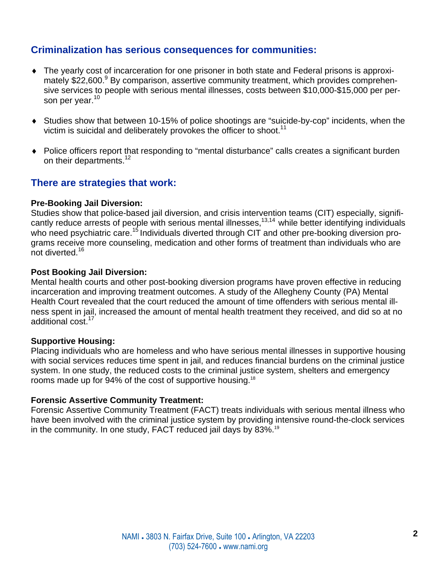# **Criminalization has serious consequences for communities:**

- ♦ The yearly cost of incarceration for one prisoner in both state and Federal prisons is approximately \$22,600.<sup>9</sup> By comparison, assertive community treatment, which provides comprehensive services to people with serious mental illnesses, costs between \$10,000-\$15,000 per person per year.<sup>10</sup>
- ♦ Studies show that between 10-15% of police shootings are "suicide-by-cop" incidents, when the victim is suicidal and deliberately provokes the officer to shoot.<sup>11</sup>
- ♦ Police officers report that responding to "mental disturbance" calls creates a significant burden on their departments.<sup>12</sup>

## **There are strategies that work:**

#### **Pre-Booking Jail Diversion:**

Studies show that police-based jail diversion, and crisis intervention teams (CIT) especially, significantly reduce arrests of people with serious mental illnesses, $13,14$  while better identifying individuals who need psychiatric care.<sup>15</sup> Individuals diverted through CIT and other pre-booking diversion programs receive more counseling, medication and other forms of treatment than individuals who are not diverted.<sup>16</sup>

#### **Post Booking Jail Diversion:**

Mental health courts and other post-booking diversion programs have proven effective in reducing incarceration and improving treatment outcomes. A study of the Allegheny County (PA) Mental Health Court revealed that the court reduced the amount of time offenders with serious mental illness spent in jail, increased the amount of mental health treatment they received, and did so at no additional cost.<sup>17</sup>

#### **Supportive Housing:**

Placing individuals who are homeless and who have serious mental illnesses in supportive housing with social services reduces time spent in jail, and reduces financial burdens on the criminal justice system. In one study, the reduced costs to the criminal justice system, shelters and emergency rooms made up for 94% of the cost of supportive housing.18

#### **Forensic Assertive Community Treatment:**

Forensic Assertive Community Treatment (FACT) treats individuals with serious mental illness who have been involved with the criminal justice system by providing intensive round-the-clock services in the community. In one study, FACT reduced jail days by 83%.<sup>19</sup>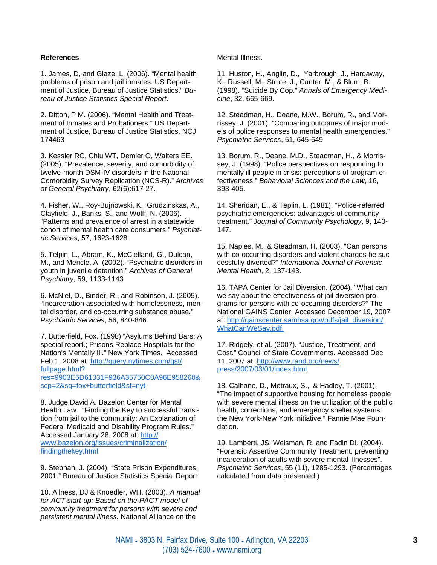#### **References**

1. James, D, and Glaze, L. (2006). "Mental health problems of prison and jail inmates. US Department of Justice, Bureau of Justice Statistics." *Bureau of Justice Statistics Special Report*.

2. Ditton, P M. (2006). "Mental Health and Treatment of Inmates and Probationers." US Department of Justice, Bureau of Justice Statistics, NCJ 174463

3. Kessler RC, Chiu WT, Demler O, Walters EE. (2005). "Prevalence, severity, and comorbidity of twelve-month DSM-IV disorders in the National Comorbidity Survey Replication (NCS-R)." *Archives of General Psychiatry*, 62(6):617-27.

4. Fisher, W., Roy-Bujnowski, K., Grudzinskas, A., Clayfield, J., Banks, S., and Wolff, N. (2006). "Patterns and prevalence of arrest in a statewide cohort of mental health care consumers." *Psychiatric Services*, 57, 1623-1628.

5. Telpin, L., Abram, K., McClelland, G., Dulcan, M., and Mericle, A. (2002). "Psychiatric disorders in youth in juvenile detention." *Archives of General Psychiatry*, 59, 1133-1143

6. McNiel, D., Binder, R., and Robinson, J. (2005). "Incarceration associated with homelessness, mental disorder, and co-occurring substance abuse." *Psychiatric Services*, 56, 840-846.

7. Butterfield, Fox. (1998) "Asylums Behind Bars: A special report.; Prisons Replace Hospitals for the Nation's Mentally Ill." New York Times. Accessed Feb 1, 2008 at: http://query.nytimes.com/gst/ fullpage.html? res=9903E5D61331F936A35750C0A96E958260& scp=2&sq=fox+butterfield&st=nyt

8. Judge David A. Bazelon Center for Mental Health Law. "Finding the Key to successful transition from jail to the community: An Explanation of Federal Medicaid and Disability Program Rules." Accessed January 28, 2008 at: http:// www.bazelon.org/issues/criminalization/ findingthekey.html

9. Stephan, J. (2004). "State Prison Expenditures, 2001." Bureau of Justice Statistics Special Report.

10. Allness, DJ & Knoedler, WH. (2003). *A manual for ACT start-up: Based on the PACT model of community treatment for persons with severe and persistent mental illness.* National Alliance on the

Mental Illness.

11. Huston, H., Anglin, D., Yarbrough, J., Hardaway, K., Russell, M., Strote, J., Canter, M., & Blum, B. (1998). "Suicide By Cop." *Annals of Emergency Medicine*, 32, 665-669.

12. Steadman, H., Deane, M.W., Borum, R., and Morrissey, J. (2001). "Comparing outcomes of major models of police responses to mental health emergencies." *Psychiatric Services*, 51, 645-649

13. Borum, R., Deane, M.D., Steadman, H., & Morrissey, J. (1998). "Police perspectives on responding to mentally ill people in crisis: perceptions of program effectiveness." *Behavioral Sciences and the Law*, 16, 393-405.

14. Sheridan, E., & Teplin, L. (1981). "Police-referred psychiatric emergencies: advantages of community treatment." *Journal of Community Psychology*, 9, 140- 147.

15. Naples, M., & Steadman, H. (2003). "Can persons with co-occurring disorders and violent charges be successfully diverted?" *International Journal of Forensic Mental Health*, 2, 137-143.

16. TAPA Center for Jail Diversion. (2004). "What can we say about the effectiveness of jail diversion programs for persons with co-occurring disorders?" The National GAINS Center. Accessed December 19, 2007 at: http://gainscenter.samhsa.gov/pdfs/jail\_diversion/ WhatCanWeSay.pdf.

17. Ridgely, et al. (2007). "Justice, Treatment, and Cost." Council of State Governments. Accessed Dec 11, 2007 at: http://www.rand.org/news/ press/2007/03/01/index.html.

18. Calhane, D., Metraux, S., & Hadley, T. (2001). "The impact of supportive housing for homeless people with severe mental illness on the utilization of the public health, corrections, and emergency shelter systems: the New York-New York initiative." Fannie Mae Foundation.

19. Lamberti, JS, Weisman, R, and Fadin DI. (2004). "Forensic Assertive Community Treatment: preventing incarceration of adults with severe mental illnesses". *Psychiatric Services*, 55 (11), 1285-1293. (Percentages calculated from data presented.)

NAMI ● 3803 N. Fairfax Drive, Suite 100 ● Arlington, VA 22203 **3**  (703) 524-7600 ● www.nami.org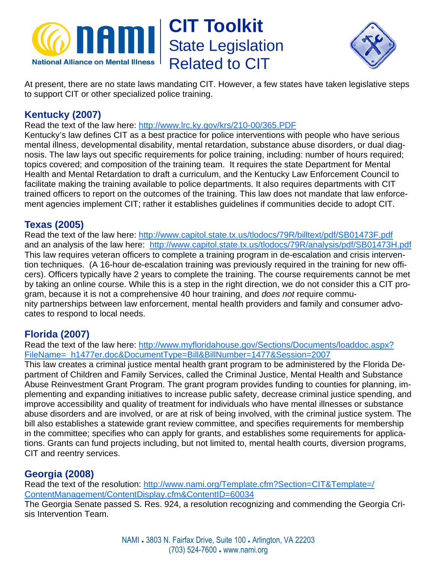

# **CIT Toolkit**  State Legislation Related to CIT



At present, there are no state laws mandating CIT. However, a few states have taken legislative steps to support CIT or other specialized police training.

# **Kentucky (2007)**

Read the text of the law here: http://www.lrc.ky.gov/krs/210-00/365.PDF

Kentucky's law defines CIT as a best practice for police interventions with people who have serious mental illness, developmental disability, mental retardation, substance abuse disorders, or dual diagnosis. The law lays out specific requirements for police training, including: number of hours required; topics covered; and composition of the training team. It requires the state Department for Mental Health and Mental Retardation to draft a curriculum, and the Kentucky Law Enforcement Council to facilitate making the training available to police departments. It also requires departments with CIT trained officers to report on the outcomes of the training. This law does not mandate that law enforcement agencies implement CIT; rather it establishes guidelines if communities decide to adopt CIT.

# **Texas (2005)**

Read the text of the law here: http://www.capitol.state.tx.us/tlodocs/79R/billtext/pdf/SB01473F.pdf and an analysis of the law here: http://www.capitol.state.tx.us/tlodocs/79R/analysis/pdf/SB01473H.pdf This law requires veteran officers to complete a training program in de-escalation and crisis intervention techniques. (A 16-hour de-escalation training was previously required in the training for new officers). Officers typically have 2 years to complete the training. The course requirements cannot be met by taking an online course. While this is a step in the right direction, we do not consider this a CIT program, because it is not a comprehensive 40 hour training, and *does not* require community partnerships between law enforcement, mental health providers and family and consumer advocates to respond to local needs.

# **Florida (2007)**

Read the text of the law here: http://www.myfloridahouse.gov/Sections/Documents/loaddoc.aspx? FileName=\_h1477er.doc&DocumentType=Bill&BillNumber=1477&Session=2007

This law creates a criminal justice mental health grant program to be administered by the Florida Department of Children and Family Services, called the Criminal Justice, Mental Health and Substance Abuse Reinvestment Grant Program. The grant program provides funding to counties for planning, implementing and expanding initiatives to increase public safety, decrease criminal justice spending, and improve accessibility and quality of treatment for individuals who have mental illnesses or substance abuse disorders and are involved, or are at risk of being involved, with the criminal justice system. The bill also establishes a statewide grant review committee, and specifies requirements for membership in the committee; specifies who can apply for grants, and establishes some requirements for applications. Grants can fund projects including, but not limited to, mental health courts, diversion programs, CIT and reentry services.

# **Georgia (2008)**

Read the text of the resolution: http://www.nami.org/Template.cfm?Section=CIT&Template=/ ContentManagement/ContentDisplay.cfm&ContentID=60034

The Georgia Senate passed S. Res. 924, a resolution recognizing and commending the Georgia Crisis Intervention Team.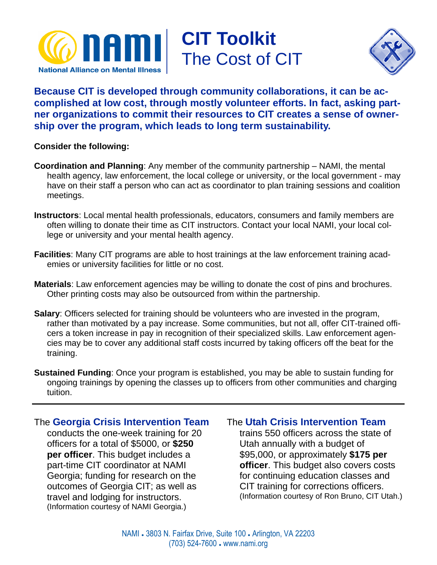

# **CIT Toolkit**  The Cost of CIT



# **Because CIT is developed through community collaborations, it can be accomplished at low cost, through mostly volunteer efforts. In fact, asking partner organizations to commit their resources to CIT creates a sense of ownership over the program, which leads to long term sustainability.**

### **Consider the following:**

- **Coordination and Planning**: Any member of the community partnership NAMI, the mental health agency, law enforcement, the local college or university, or the local government - may have on their staff a person who can act as coordinator to plan training sessions and coalition meetings.
- **Instructors**: Local mental health professionals, educators, consumers and family members are often willing to donate their time as CIT instructors. Contact your local NAMI, your local college or university and your mental health agency.
- **Facilities**: Many CIT programs are able to host trainings at the law enforcement training academies or university facilities for little or no cost.
- **Materials**: Law enforcement agencies may be willing to donate the cost of pins and brochures. Other printing costs may also be outsourced from within the partnership.
- **Salary:** Officers selected for training should be volunteers who are invested in the program, rather than motivated by a pay increase. Some communities, but not all, offer CIT-trained officers a token increase in pay in recognition of their specialized skills. Law enforcement agencies may be to cover any additional staff costs incurred by taking officers off the beat for the training.
- **Sustained Funding**: Once your program is established, you may be able to sustain funding for ongoing trainings by opening the classes up to officers from other communities and charging tuition.

# The **Georgia Crisis Intervention Team**

conducts the one-week training for 20 officers for a total of \$5000, or **\$250 per officer**. This budget includes a part-time CIT coordinator at NAMI Georgia; funding for research on the outcomes of Georgia CIT; as well as travel and lodging for instructors. (Information courtesy of NAMI Georgia.)

# The **Utah Crisis Intervention Team**

trains 550 officers across the state of Utah annually with a budget of \$95,000, or approximately **\$175 per officer**. This budget also covers costs for continuing education classes and CIT training for corrections officers. (Information courtesy of Ron Bruno, CIT Utah.)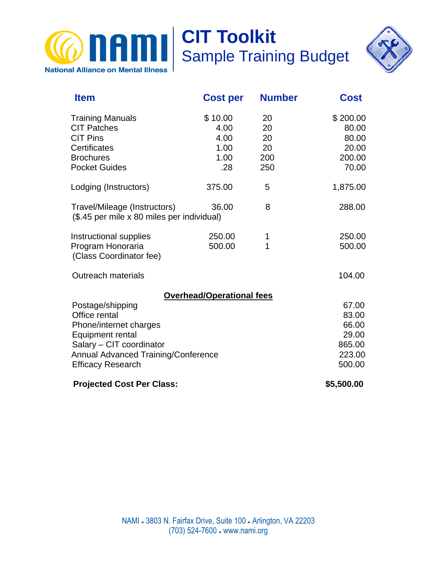

# **CIT Toolkit**  Sample Training Budget



| <b>Item</b>                                                     | <b>Cost per</b>                  | <b>Number</b> | <b>Cost</b>      |
|-----------------------------------------------------------------|----------------------------------|---------------|------------------|
| <b>Training Manuals</b>                                         | \$10.00                          | 20            | \$200.00         |
| <b>CIT Patches</b>                                              | 4.00                             | 20            | 80.00            |
| <b>CIT Pins</b>                                                 | 4.00                             | 20            | 80.00            |
| Certificates                                                    | 1.00                             | 20            | 20.00            |
| <b>Brochures</b>                                                | 1.00                             | 200           | 200.00           |
| <b>Pocket Guides</b>                                            | .28                              | 250           | 70.00            |
| Lodging (Instructors)                                           | 375.00                           | 5             | 1,875.00         |
| Travel/Mileage (Instructors)                                    | 36.00                            | 8             | 288.00           |
| (\$.45 per mile x 80 miles per individual)                      |                                  |               |                  |
| Instructional supplies                                          | 250.00                           | 1             | 250.00           |
| Program Honoraria<br>(Class Coordinator fee)                    | 500.00                           | 1             | 500.00           |
|                                                                 |                                  |               |                  |
| <b>Outreach materials</b>                                       |                                  |               | 104.00           |
|                                                                 | <b>Overhead/Operational fees</b> |               |                  |
| Postage/shipping                                                |                                  |               | 67.00            |
| Office rental                                                   |                                  |               | 83.00            |
| Phone/internet charges                                          |                                  |               | 66.00            |
| Equipment rental                                                |                                  |               | 29.00            |
| Salary - CIT coordinator                                        |                                  |               | 865.00<br>223.00 |
| Annual Advanced Training/Conference<br><b>Efficacy Research</b> |                                  |               | 500.00           |
|                                                                 |                                  |               |                  |
| <b>Projected Cost Per Class:</b>                                |                                  |               | \$5,500.00       |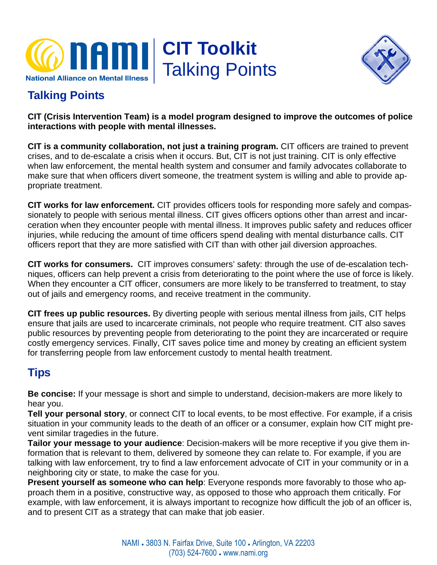



# **Talking Points**

**CIT (Crisis Intervention Team) is a model program designed to improve the outcomes of police interactions with people with mental illnesses.** 

**CIT is a community collaboration, not just a training program.** CIT officers are trained to prevent crises, and to de-escalate a crisis when it occurs. But, CIT is not just training. CIT is only effective when law enforcement, the mental health system and consumer and family advocates collaborate to make sure that when officers divert someone, the treatment system is willing and able to provide appropriate treatment.

**CIT works for law enforcement.** CIT provides officers tools for responding more safely and compassionately to people with serious mental illness. CIT gives officers options other than arrest and incarceration when they encounter people with mental illness. It improves public safety and reduces officer injuries, while reducing the amount of time officers spend dealing with mental disturbance calls. CIT officers report that they are more satisfied with CIT than with other jail diversion approaches.

**CIT works for consumers.** CIT improves consumers' safety: through the use of de-escalation techniques, officers can help prevent a crisis from deteriorating to the point where the use of force is likely. When they encounter a CIT officer, consumers are more likely to be transferred to treatment, to stay out of jails and emergency rooms, and receive treatment in the community.

**CIT frees up public resources.** By diverting people with serious mental illness from jails, CIT helps ensure that jails are used to incarcerate criminals, not people who require treatment. CIT also saves public resources by preventing people from deteriorating to the point they are incarcerated or require costly emergency services. Finally, CIT saves police time and money by creating an efficient system for transferring people from law enforcement custody to mental health treatment.

# **Tips**

**Be concise:** If your message is short and simple to understand, decision-makers are more likely to hear you.

**Tell your personal story**, or connect CIT to local events, to be most effective. For example, if a crisis situation in your community leads to the death of an officer or a consumer, explain how CIT might prevent similar tragedies in the future.

**Tailor your message to your audience**: Decision-makers will be more receptive if you give them information that is relevant to them, delivered by someone they can relate to. For example, if you are talking with law enforcement, try to find a law enforcement advocate of CIT in your community or in a neighboring city or state, to make the case for you.

**Present yourself as someone who can help**: Everyone responds more favorably to those who approach them in a positive, constructive way, as opposed to those who approach them critically. For example, with law enforcement, it is always important to recognize how difficult the job of an officer is, and to present CIT as a strategy that can make that job easier.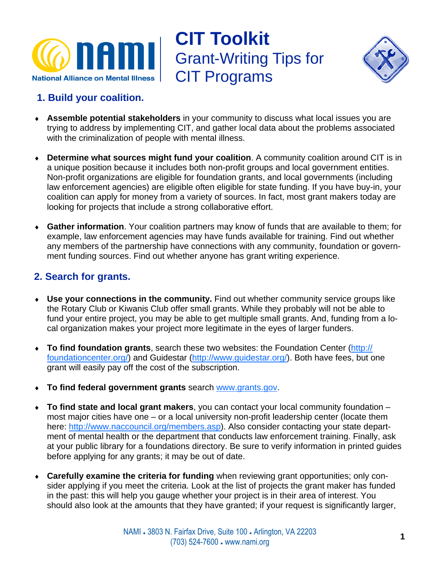

# **CIT Toolkit** Grant-Writing Tips for CIT Programs



# **1. Build your coalition.**

- ♦ **Assemble potential stakeholders** in your community to discuss what local issues you are trying to address by implementing CIT, and gather local data about the problems associated with the criminalization of people with mental illness.
- ♦ **Determine what sources might fund your coalition**. A community coalition around CIT is in a unique position because it includes both non-profit groups and local government entities. Non-profit organizations are eligible for foundation grants, and local governments (including law enforcement agencies) are eligible often eligible for state funding. If you have buy-in, your coalition can apply for money from a variety of sources. In fact, most grant makers today are looking for projects that include a strong collaborative effort.
- **Gather information**. Your coalition partners may know of funds that are available to them; for example, law enforcement agencies may have funds available for training. Find out whether any members of the partnership have connections with any community, foundation or government funding sources. Find out whether anyone has grant writing experience.

# **2. Search for grants.**

- ♦ **Use your connections in the community.** Find out whether community service groups like the Rotary Club or Kiwanis Club offer small grants. While they probably will not be able to fund your entire project, you may be able to get multiple small grants. And, funding from a local organization makes your project more legitimate in the eyes of larger funders.
- **To find foundation grants**, search these two websites: the Foundation Center (http:// foundationcenter.org/) and Guidestar (http://www.guidestar.org/). Both have fees, but one grant will easily pay off the cost of the subscription.
- ♦ **To find federal government grants** search www.grants.gov.
- ♦ **To find state and local grant makers**, you can contact your local community foundation most major cities have one – or a local university non-profit leadership center (locate them here: http://www.naccouncil.org/members.asp). Also consider contacting your state department of mental health or the department that conducts law enforcement training. Finally, ask at your public library for a foundations directory. Be sure to verify information in printed guides before applying for any grants; it may be out of date.
- ♦ **Carefully examine the criteria for funding** when reviewing grant opportunities; only consider applying if you meet the criteria. Look at the list of projects the grant maker has funded in the past: this will help you gauge whether your project is in their area of interest. You should also look at the amounts that they have granted; if your request is significantly larger,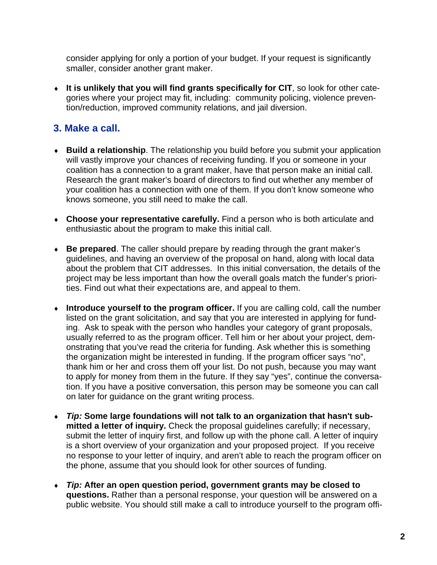consider applying for only a portion of your budget. If your request is significantly smaller, consider another grant maker.

♦ **It is unlikely that you will find grants specifically for CIT**, so look for other categories where your project may fit, including: community policing, violence prevention/reduction, improved community relations, and jail diversion.

## **3. Make a call.**

- ♦ **Build a relationship**. The relationship you build before you submit your application will vastly improve your chances of receiving funding. If you or someone in your coalition has a connection to a grant maker, have that person make an initial call. Research the grant maker's board of directors to find out whether any member of your coalition has a connection with one of them. If you don't know someone who knows someone, you still need to make the call.
- ♦ **Choose your representative carefully.** Find a person who is both articulate and enthusiastic about the program to make this initial call.
- ♦ **Be prepared**. The caller should prepare by reading through the grant maker's guidelines, and having an overview of the proposal on hand, along with local data about the problem that CIT addresses. In this initial conversation, the details of the project may be less important than how the overall goals match the funder's priorities. Find out what their expectations are, and appeal to them.
- ♦ **Introduce yourself to the program officer.** If you are calling cold, call the number listed on the grant solicitation, and say that you are interested in applying for funding. Ask to speak with the person who handles your category of grant proposals, usually referred to as the program officer. Tell him or her about your project, demonstrating that you've read the criteria for funding. Ask whether this is something the organization might be interested in funding. If the program officer says "no", thank him or her and cross them off your list. Do not push, because you may want to apply for money from them in the future. If they say "yes", continue the conversation. If you have a positive conversation, this person may be someone you can call on later for guidance on the grant writing process.
- ♦ *Tip:* **Some large foundations will not talk to an organization that hasn't submitted a letter of inquiry.** Check the proposal guidelines carefully; if necessary, submit the letter of inquiry first, and follow up with the phone call. A letter of inquiry is a short overview of your organization and your proposed project. If you receive no response to your letter of inquiry, and aren't able to reach the program officer on the phone, assume that you should look for other sources of funding.
- ♦ *Tip:* **After an open question period, government grants may be closed to questions.** Rather than a personal response, your question will be answered on a public website. You should still make a call to introduce yourself to the program offi-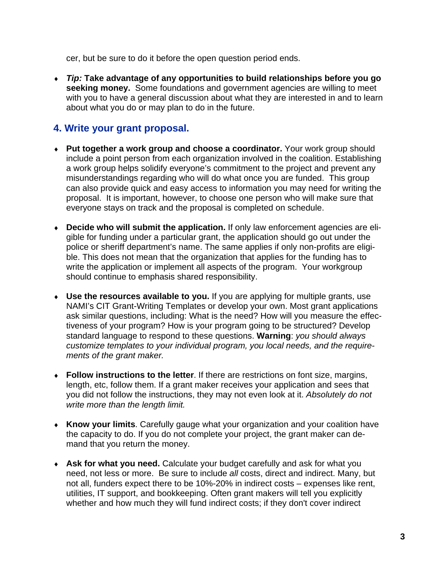cer, but be sure to do it before the open question period ends.

♦ *Tip:* **Take advantage of any opportunities to build relationships before you go seeking money.** Some foundations and government agencies are willing to meet with you to have a general discussion about what they are interested in and to learn about what you do or may plan to do in the future.

# **4. Write your grant proposal.**

- ♦ **Put together a work group and choose a coordinator.** Your work group should include a point person from each organization involved in the coalition. Establishing a work group helps solidify everyone's commitment to the project and prevent any misunderstandings regarding who will do what once you are funded. This group can also provide quick and easy access to information you may need for writing the proposal. It is important, however, to choose one person who will make sure that everyone stays on track and the proposal is completed on schedule.
- ♦ **Decide who will submit the application.** If only law enforcement agencies are eligible for funding under a particular grant, the application should go out under the police or sheriff department's name. The same applies if only non-profits are eligible. This does not mean that the organization that applies for the funding has to write the application or implement all aspects of the program. Your workgroup should continue to emphasis shared responsibility.
- ♦ **Use the resources available to you.** If you are applying for multiple grants, use NAMI's CIT Grant-Writing Templates or develop your own. Most grant applications ask similar questions, including: What is the need? How will you measure the effectiveness of your program? How is your program going to be structured? Develop standard language to respond to these questions. **Warning**: *you should always customize templates to your individual program, you local needs, and the requirements of the grant maker.*
- ♦ **Follow instructions to the letter**. If there are restrictions on font size, margins, length, etc, follow them. If a grant maker receives your application and sees that you did not follow the instructions, they may not even look at it. *Absolutely do not write more than the length limit.*
- ♦ **Know your limits**. Carefully gauge what your organization and your coalition have the capacity to do. If you do not complete your project, the grant maker can demand that you return the money.
- ♦ **Ask for what you need.** Calculate your budget carefully and ask for what you need, not less or more. Be sure to include *all* costs, direct and indirect. Many, but not all, funders expect there to be 10%-20% in indirect costs – expenses like rent, utilities, IT support, and bookkeeping. Often grant makers will tell you explicitly whether and how much they will fund indirect costs; if they don't cover indirect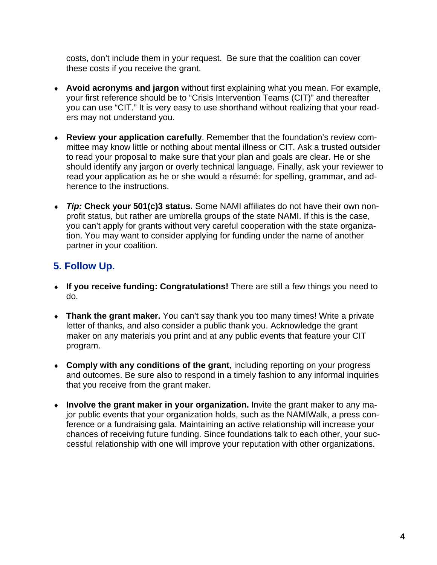costs, don't include them in your request. Be sure that the coalition can cover these costs if you receive the grant.

- ♦ **Avoid acronyms and jargon** without first explaining what you mean. For example, your first reference should be to "Crisis Intervention Teams (CIT)" and thereafter you can use "CIT." It is very easy to use shorthand without realizing that your readers may not understand you.
- ♦ **Review your application carefully**. Remember that the foundation's review committee may know little or nothing about mental illness or CIT. Ask a trusted outsider to read your proposal to make sure that your plan and goals are clear. He or she should identify any jargon or overly technical language. Finally, ask your reviewer to read your application as he or she would a résumé: for spelling, grammar, and adherence to the instructions.
- ♦ *Tip:* **Check your 501(c)3 status.** Some NAMI affiliates do not have their own nonprofit status, but rather are umbrella groups of the state NAMI. If this is the case, you can't apply for grants without very careful cooperation with the state organization. You may want to consider applying for funding under the name of another partner in your coalition.

# **5. Follow Up.**

- ♦ **If you receive funding: Congratulations!** There are still a few things you need to do.
- ♦ **Thank the grant maker.** You can't say thank you too many times! Write a private letter of thanks, and also consider a public thank you. Acknowledge the grant maker on any materials you print and at any public events that feature your CIT program.
- ♦ **Comply with any conditions of the grant**, including reporting on your progress and outcomes. Be sure also to respond in a timely fashion to any informal inquiries that you receive from the grant maker.
- ♦ **Involve the grant maker in your organization.** Invite the grant maker to any major public events that your organization holds, such as the NAMIWalk, a press conference or a fundraising gala. Maintaining an active relationship will increase your chances of receiving future funding. Since foundations talk to each other, your successful relationship with one will improve your reputation with other organizations.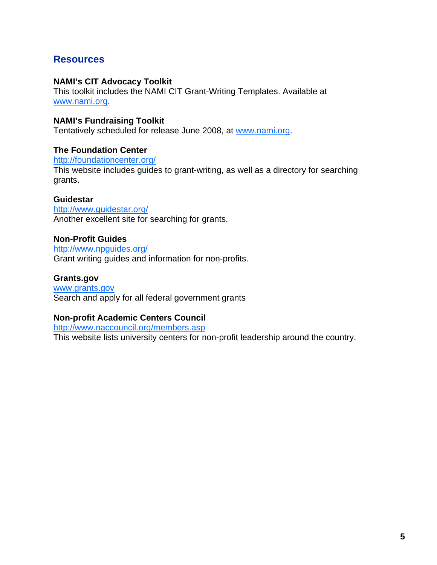# **Resources**

### **NAMI's CIT Advocacy Toolkit**

This toolkit includes the NAMI CIT Grant-Writing Templates. Available at www.nami.org.

### **NAMI's Fundraising Toolkit**

Tentatively scheduled for release June 2008, at www.nami.org.

### **The Foundation Center**

http://foundationcenter.org/

This website includes guides to grant-writing, as well as a directory for searching grants.

#### **Guidestar**

http://www.guidestar.org/ Another excellent site for searching for grants.

#### **Non-Profit Guides**

http://www.npguides.org/ Grant writing guides and information for non-profits.

#### **Grants.gov**

www.grants.gov Search and apply for all federal government grants

#### **Non-profit Academic Centers Council**

http://www.naccouncil.org/members.asp This website lists university centers for non-profit leadership around the country.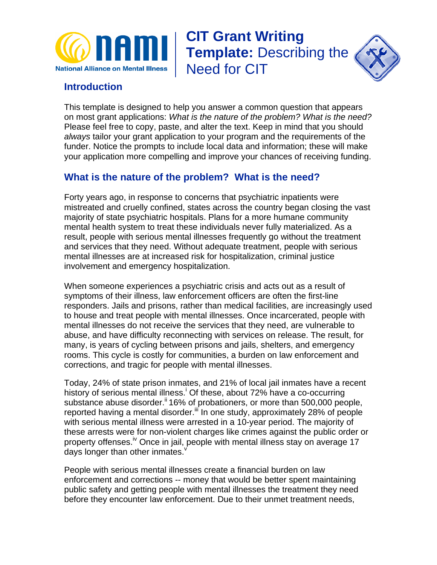

# **CIT Grant Writing Template:** Describing the Need for CIT



# **Introduction**

This template is designed to help you answer a common question that appears on most grant applications: *What is the nature of the problem? What is the need?* Please feel free to copy, paste, and alter the text. Keep in mind that you should *always* tailor your grant application to your program and the requirements of the funder. Notice the prompts to include local data and information; these will make your application more compelling and improve your chances of receiving funding.

# **What is the nature of the problem? What is the need?**

Forty years ago, in response to concerns that psychiatric inpatients were mistreated and cruelly confined, states across the country began closing the vast majority of state psychiatric hospitals. Plans for a more humane community mental health system to treat these individuals never fully materialized. As a result, people with serious mental illnesses frequently go without the treatment and services that they need. Without adequate treatment, people with serious mental illnesses are at increased risk for hospitalization, criminal justice involvement and emergency hospitalization.

When someone experiences a psychiatric crisis and acts out as a result of symptoms of their illness, law enforcement officers are often the first-line responders. Jails and prisons, rather than medical facilities, are increasingly used to house and treat people with mental illnesses. Once incarcerated, people with mental illnesses do not receive the services that they need, are vulnerable to abuse, and have difficulty reconnecting with services on release. The result, for many, is years of cycling between prisons and jails, shelters, and emergency rooms. This cycle is costly for communities, a burden on law enforcement and corrections, and tragic for people with mental illnesses.

Today, 24% of state prison inmates, and 21% of local jail inmates have a recent history of serious mental illness.<sup>i</sup> Of these, about 72% have a co-occurring substance abuse disorder.<sup>ii</sup> 16% of probationers, or more than 500,000 people, reported having a mental disorder.<sup>iii</sup> In one study, approximately 28% of people with serious mental illness were arrested in a 10-year period. The majority of these arrests were for non-violent charges like crimes against the public order or property offenses.<sup>iv</sup> Once in jail, people with mental illness stay on average 17 days longer than other inmates. $v$ 

People with serious mental illnesses create a financial burden on law enforcement and corrections -- money that would be better spent maintaining public safety and getting people with mental illnesses the treatment they need before they encounter law enforcement. Due to their unmet treatment needs,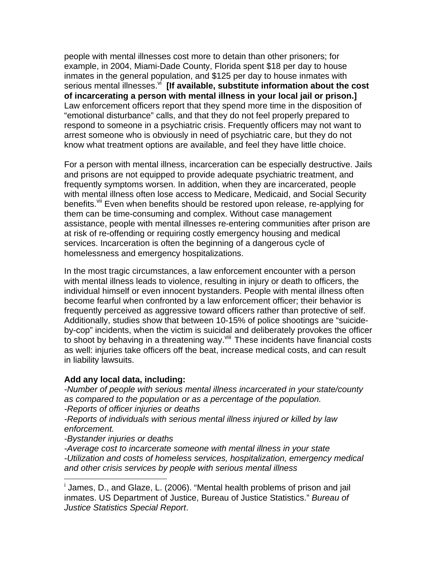people with mental illnesses cost more to detain than other prisoners; for example, in 2004, Miami-Dade County, Florida spent \$18 per day to house inmates in the general population, and \$125 per day to house inmates with serious mental illnesses.<sup>vi</sup> [If available, substitute information about the cost **of incarcerating a person with mental illness in your local jail or prison.]** Law enforcement officers report that they spend more time in the disposition of "emotional disturbance" calls, and that they do not feel properly prepared to respond to someone in a psychiatric crisis. Frequently officers may not want to arrest someone who is obviously in need of psychiatric care, but they do not know what treatment options are available, and feel they have little choice.

For a person with mental illness, incarceration can be especially destructive. Jails and prisons are not equipped to provide adequate psychiatric treatment, and frequently symptoms worsen. In addition, when they are incarcerated, people with mental illness often lose access to Medicare, Medicaid, and Social Security benefits.<sup>vii</sup> Even when benefits should be restored upon release, re-applying for them can be time-consuming and complex. Without case management assistance, people with mental illnesses re-entering communities after prison are at risk of re-offending or requiring costly emergency housing and medical services. Incarceration is often the beginning of a dangerous cycle of homelessness and emergency hospitalizations.

In the most tragic circumstances, a law enforcement encounter with a person with mental illness leads to violence, resulting in injury or death to officers, the individual himself or even innocent bystanders. People with mental illness often become fearful when confronted by a law enforcement officer; their behavior is frequently perceived as aggressive toward officers rather than protective of self. Additionally, studies show that between 10-15% of police shootings are "suicideby-cop" incidents, when the victim is suicidal and deliberately provokes the officer to shoot by behaving in a threatening way. Will These incidents have financial costs as well: injuries take officers off the beat, increase medical costs, and can result in liability lawsuits.

#### **Add any local data, including:**

*-Number of people with serious mental illness incarcerated in your state/county as compared to the population or as a percentage of the population. -Reports of officer injuries or deaths* 

*-Reports of individuals with serious mental illness injured or killed by law enforcement.* 

*-Bystander injuries or deaths* 

 $\overline{a}$ 

*-Average cost to incarcerate someone with mental illness in your state -Utilization and costs of homeless services, hospitalization, emergency medical and other crisis services by people with serious mental illness* 

<sup>&</sup>lt;sup>i</sup> James, D., and Glaze, L. (2006). "Mental health problems of prison and jail inmates. US Department of Justice, Bureau of Justice Statistics." *Bureau of Justice Statistics Special Report*.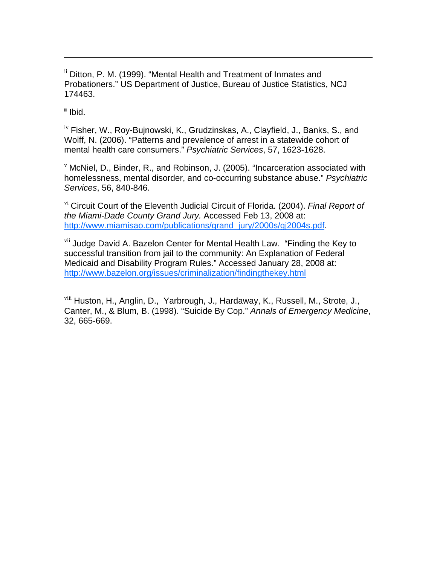<sup>ii</sup> Ditton, P. M. (1999). "Mental Health and Treatment of Inmates and Probationers." US Department of Justice, Bureau of Justice Statistics, NCJ 174463.

iii Ibid.

 $\overline{a}$ 

iv Fisher, W., Roy-Bujnowski, K., Grudzinskas, A., Clayfield, J., Banks, S., and Wolff, N. (2006). "Patterns and prevalence of arrest in a statewide cohort of mental health care consumers." *Psychiatric Services*, 57, 1623-1628.

 $v$  McNiel, D., Binder, R., and Robinson, J. (2005). "Incarceration associated with homelessness, mental disorder, and co-occurring substance abuse." *Psychiatric Services*, 56, 840-846.

vi Circuit Court of the Eleventh Judicial Circuit of Florida. (2004). *Final Report of the Miami-Dade County Grand Jury.* Accessed Feb 13, 2008 at: http://www.miamisao.com/publications/grand\_jury/2000s/gj2004s.pdf.

<sup>vii</sup> Judge David A. Bazelon Center for Mental Health Law. "Finding the Key to successful transition from jail to the community: An Explanation of Federal Medicaid and Disability Program Rules." Accessed January 28, 2008 at: http://www.bazelon.org/issues/criminalization/findingthekey.html

viii Huston, H., Anglin, D., Yarbrough, J., Hardaway, K., Russell, M., Strote, J., Canter, M., & Blum, B. (1998). "Suicide By Cop." *Annals of Emergency Medicine*, 32, 665-669.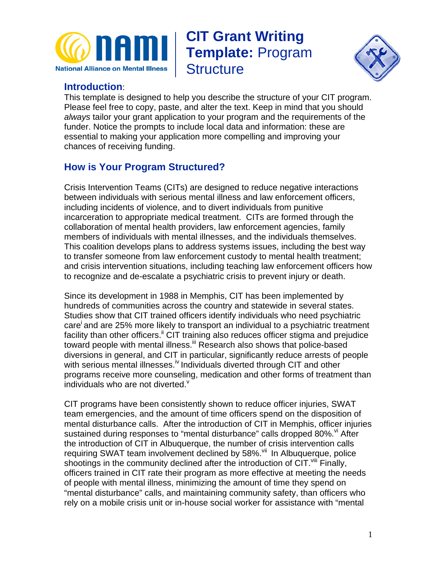

# **CIT Grant Writing Template:** Program **Structure**



# **Introduction**:

This template is designed to help you describe the structure of your CIT program. Please feel free to copy, paste, and alter the text. Keep in mind that you should *always* tailor your grant application to your program and the requirements of the funder. Notice the prompts to include local data and information: these are essential to making your application more compelling and improving your chances of receiving funding.

# **How is Your Program Structured?**

Crisis Intervention Teams (CITs) are designed to reduce negative interactions between individuals with serious mental illness and law enforcement officers, including incidents of violence, and to divert individuals from punitive incarceration to appropriate medical treatment. CITs are formed through the collaboration of mental health providers, law enforcement agencies, family members of individuals with mental illnesses, and the individuals themselves. This coalition develops plans to address systems issues, including the best way to transfer someone from law enforcement custody to mental health treatment; and crisis intervention situations, including teaching law enforcement officers how to recognize and de-escalate a psychiatric crisis to prevent injury or death.

Since its development in 1988 in Memphis, CIT has been implemented by hundreds of communities across the country and statewide in several states. Studies show that CIT trained officers identify individuals who need psychiatric care and are 25% more likely to transport an individual to a psychiatric treatment facility than other officers.<sup>ii</sup> CIT training also reduces officer stigma and prejudice toward people with mental illness.<sup>iii</sup> Research also shows that police-based diversions in general, and CIT in particular, significantly reduce arrests of people with serious mental illnesses.<sup>iv</sup> Individuals diverted through CIT and other programs receive more counseling, medication and other forms of treatment than individuals who are not diverted. $<sup>v</sup>$ </sup>

CIT programs have been consistently shown to reduce officer injuries, SWAT team emergencies, and the amount of time officers spend on the disposition of mental disturbance calls. After the introduction of CIT in Memphis, officer injuries sustained during responses to "mental disturbance" calls dropped 80%. Her the introduction of CIT in Albuquerque, the number of crisis intervention calls requiring SWAT team involvement declined by 58%. Vii In Albuquerque, police shootings in the community declined after the introduction of CIT.<sup>Viii</sup> Finally, officers trained in CIT rate their program as more effective at meeting the needs of people with mental illness, minimizing the amount of time they spend on "mental disturbance" calls, and maintaining community safety, than officers who rely on a mobile crisis unit or in-house social worker for assistance with "mental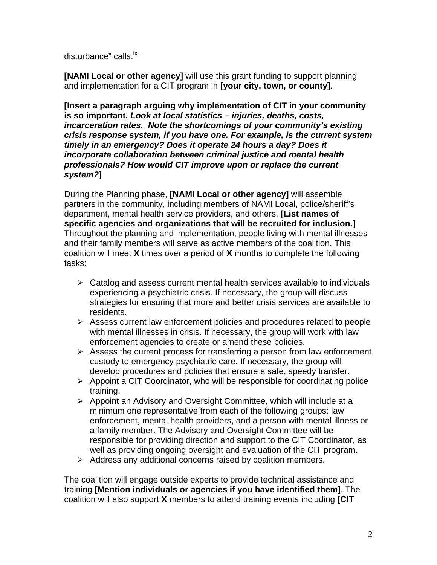disturbance" calls.<sup>ix</sup>

**[NAMI Local or other agency]** will use this grant funding to support planning and implementation for a CIT program in **[your city, town, or county]**.

**[Insert a paragraph arguing why implementation of CIT in your community is so important.** *Look at local statistics – injuries, deaths, costs, incarceration rates. Note the shortcomings of your community's existing crisis response system, if you have one. For example, is the current system timely in an emergency? Does it operate 24 hours a day? Does it incorporate collaboration between criminal justice and mental health professionals? How would CIT improve upon or replace the current system?***]**

During the Planning phase, **[NAMI Local or other agency]** will assemble partners in the community, including members of NAMI Local, police/sheriff's department, mental health service providers, and others. **[List names of specific agencies and organizations that will be recruited for inclusion.]**  Throughout the planning and implementation, people living with mental illnesses and their family members will serve as active members of the coalition. This coalition will meet **X** times over a period of **X** months to complete the following tasks:

- $\triangleright$  Catalog and assess current mental health services available to individuals experiencing a psychiatric crisis. If necessary, the group will discuss strategies for ensuring that more and better crisis services are available to residents.
- ¾ Assess current law enforcement policies and procedures related to people with mental illnesses in crisis. If necessary, the group will work with law enforcement agencies to create or amend these policies.
- $\triangleright$  Assess the current process for transferring a person from law enforcement custody to emergency psychiatric care. If necessary, the group will develop procedures and policies that ensure a safe, speedy transfer.
- ¾ Appoint a CIT Coordinator, who will be responsible for coordinating police training.
- ¾ Appoint an Advisory and Oversight Committee, which will include at a minimum one representative from each of the following groups: law enforcement, mental health providers, and a person with mental illness or a family member. The Advisory and Oversight Committee will be responsible for providing direction and support to the CIT Coordinator, as well as providing ongoing oversight and evaluation of the CIT program.
- $\triangleright$  Address any additional concerns raised by coalition members.

The coalition will engage outside experts to provide technical assistance and training **[Mention individuals or agencies if you have identified them]**. The coalition will also support **X** members to attend training events including **[CIT**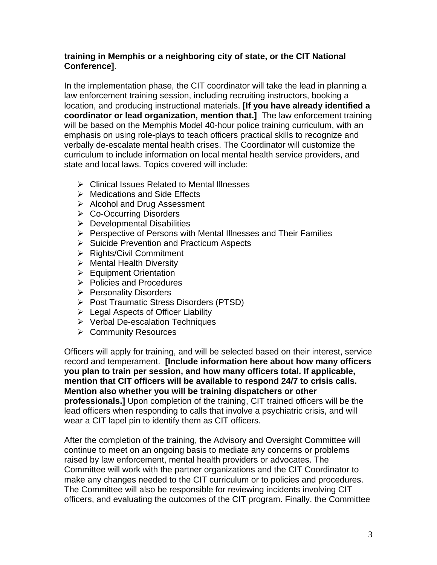#### **training in Memphis or a neighboring city of state, or the CIT National Conference]**.

In the implementation phase, the CIT coordinator will take the lead in planning a law enforcement training session, including recruiting instructors, booking a location, and producing instructional materials. **[If you have already identified a coordinator or lead organization, mention that.]** The law enforcement training will be based on the Memphis Model 40-hour police training curriculum, with an emphasis on using role-plays to teach officers practical skills to recognize and verbally de-escalate mental health crises. The Coordinator will customize the curriculum to include information on local mental health service providers, and state and local laws. Topics covered will include:

- $\triangleright$  Clinical Issues Related to Mental Illnesses
- $\triangleright$  Medications and Side Effects
- ¾ Alcohol and Drug Assessment
- ¾ Co-Occurring Disorders
- $\triangleright$  Developmental Disabilities
- ¾ Perspective of Persons with Mental Illnesses and Their Families
- ¾ Suicide Prevention and Practicum Aspects
- ¾ Rights/Civil Commitment
- $\triangleright$  Mental Health Diversity
- $\triangleright$  Equipment Orientation
- ¾ Policies and Procedures
- **▶ Personality Disorders**
- ¾ Post Traumatic Stress Disorders (PTSD)
- $\triangleright$  Legal Aspects of Officer Liability
- ¾ Verbal De-escalation Techniques
- $\triangleright$  Community Resources

Officers will apply for training, and will be selected based on their interest, service record and temperament. **[Include information here about how many officers you plan to train per session, and how many officers total. If applicable, mention that CIT officers will be available to respond 24/7 to crisis calls. Mention also whether you will be training dispatchers or other professionals.]** Upon completion of the training, CIT trained officers will be the lead officers when responding to calls that involve a psychiatric crisis, and will wear a CIT lapel pin to identify them as CIT officers.

After the completion of the training, the Advisory and Oversight Committee will continue to meet on an ongoing basis to mediate any concerns or problems raised by law enforcement, mental health providers or advocates. The Committee will work with the partner organizations and the CIT Coordinator to make any changes needed to the CIT curriculum or to policies and procedures. The Committee will also be responsible for reviewing incidents involving CIT officers, and evaluating the outcomes of the CIT program. Finally, the Committee